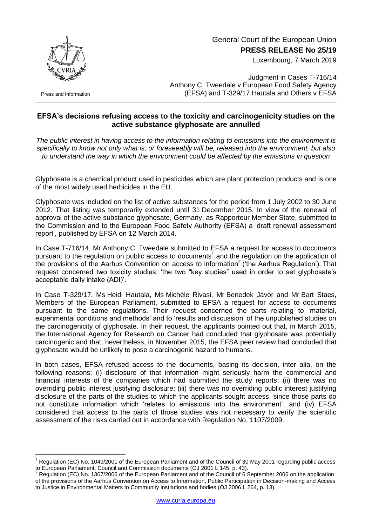

Press and Information

1

## General Court of the European Union **PRESS RELEASE No 25/19**

Luxembourg, 7 March 2019

Judgment in Cases T-716/14 Anthony C. Tweedale v European Food Safety Agency (EFSA) and T-329/17 Hautala and Others v EFSA

## **EFSA's decisions refusing access to the toxicity and carcinogenicity studies on the active substance glyphosate are annulled**

*The public interest in having access to the information relating to emissions into the environment is specifically to know not only what is, or foreseeably will be, released into the environment, but also to understand the way in which the environment could be affected by the emissions in question*

Glyphosate is a chemical product used in pesticides which are plant protection products and is one of the most widely used herbicides in the EU.

Glyphosate was included on the list of active substances for the period from 1 July 2002 to 30 June 2012. That listing was temporarily extended until 31 December 2015. In view of the renewal of approval of the active substance glyphosate, Germany, as Rapporteur Member State, submitted to the Commission and to the European Food Safety Authority (EFSA) a 'draft renewal assessment report', published by EFSA on 12 March 2014.

In Case T-716/14, Mr Anthony C. Tweedale submitted to EFSA a request for access to documents pursuant to the regulation on public access to documents<sup>1</sup> and the regulation on the application of the provisions of the Aarhus Convention on access to information<sup>2</sup> ('the Aarhus Regulation'). That request concerned two toxicity studies: 'the two "key studies" used in order to set glyphosate's acceptable daily intake (ADI)'.

In Case T-329/17, Ms Heidi Hautala, Ms Michèle Rivasi, Mr Benedek Jávor and Mr Bart Staes, Members of the European Parliament, submitted to EFSA a request for access to documents pursuant to the same regulations. Their request concerned the parts relating to 'material, experimental conditions and methods' and to 'results and discussion' of the unpublished studies on the carcinogenicity of glyphosate. In their request, the applicants pointed out that, in March 2015, the International Agency for Research on Cancer had concluded that glyphosate was potentially carcinogenic and that, nevertheless, in November 2015, the EFSA peer review had concluded that glyphosate would be unlikely to pose a carcinogenic hazard to humans.

In both cases, EFSA refused access to the documents, basing its decision, inter alia, on the following reasons: (i) disclosure of that information might seriously harm the commercial and financial interests of the companies which had submitted the study reports; (ii) there was no overriding public interest justifying disclosure; (iii) there was no overriding public interest justifying disclosure of the parts of the studies to which the applicants sought access, since those parts do not constitute information which 'relates to emissions into the environment', and (iv) EFSA considered that access to the parts of those studies was not necessary to verify the scientific assessment of the risks carried out in accordance with Regulation No. 1107/2009.

<sup>1</sup> Regulation (EC) No. 1049/2001 of the European Parliament and of the Council of 30 May 2001 regarding public access to European Parliament, Council and Commission documents (OJ 2001 L 145, p. 43).

<sup>2</sup> Regulation (EC) No. 1367/2006 of the European Parliament and of the Council of 6 September 2006 on the application of the provisions of the Aarhus Convention on Access to Information, Public Participation in Decision-making and Access to Justice in Environmental Matters to Community institutions and bodies (OJ 2006 L 264, p. 13).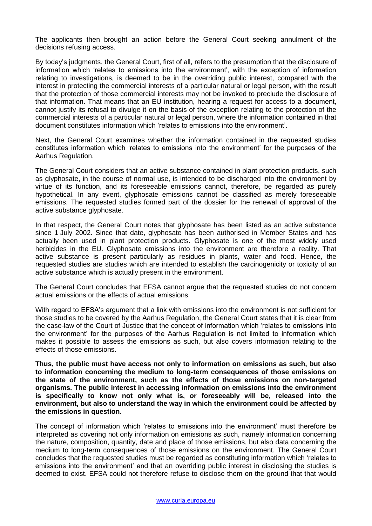The applicants then brought an action before the General Court seeking annulment of the decisions refusing access.

By today's judgments, the General Court, first of all, refers to the presumption that the disclosure of information which 'relates to emissions into the environment', with the exception of information relating to investigations, is deemed to be in the overriding public interest, compared with the interest in protecting the commercial interests of a particular natural or legal person, with the result that the protection of those commercial interests may not be invoked to preclude the disclosure of that information. That means that an EU institution, hearing a request for access to a document, cannot justify its refusal to divulge it on the basis of the exception relating to the protection of the commercial interests of a particular natural or legal person, where the information contained in that document constitutes information which 'relates to emissions into the environment'.

Next, the General Court examines whether the information contained in the requested studies constitutes information which 'relates to emissions into the environment' for the purposes of the Aarhus Regulation.

The General Court considers that an active substance contained in plant protection products, such as glyphosate, in the course of normal use, is intended to be discharged into the environment by virtue of its function, and its foreseeable emissions cannot, therefore, be regarded as purely hypothetical. In any event, glyphosate emissions cannot be classified as merely foreseeable emissions. The requested studies formed part of the dossier for the renewal of approval of the active substance glyphosate.

In that respect, the General Court notes that glyphosate has been listed as an active substance since 1 July 2002. Since that date, glyphosate has been authorised in Member States and has actually been used in plant protection products. Glyphosate is one of the most widely used herbicides in the EU. Glyphosate emissions into the environment are therefore a reality. That active substance is present particularly as residues in plants, water and food. Hence, the requested studies are studies which are intended to establish the carcinogenicity or toxicity of an active substance which is actually present in the environment.

The General Court concludes that EFSA cannot argue that the requested studies do not concern actual emissions or the effects of actual emissions.

With regard to EFSA's argument that a link with emissions into the environment is not sufficient for those studies to be covered by the Aarhus Regulation, the General Court states that it is clear from the case-law of the Court of Justice that the concept of information which 'relates to emissions into the environment' for the purposes of the Aarhus Regulation is not limited to information which makes it possible to assess the emissions as such, but also covers information relating to the effects of those emissions.

**Thus, the public must have access not only to information on emissions as such, but also to information concerning the medium to long-term consequences of those emissions on the state of the environment, such as the effects of those emissions on non-targeted organisms. The public interest in accessing information on emissions into the environment is specifically to know not only what is, or foreseeably will be, released into the environment, but also to understand the way in which the environment could be affected by the emissions in question.**

The concept of information which 'relates to emissions into the environment' must therefore be interpreted as covering not only information on emissions as such, namely information concerning the nature, composition, quantity, date and place of those emissions, but also data concerning the medium to long-term consequences of those emissions on the environment. The General Court concludes that the requested studies must be regarded as constituting information which 'relates to emissions into the environment' and that an overriding public interest in disclosing the studies is deemed to exist. EFSA could not therefore refuse to disclose them on the ground that that would